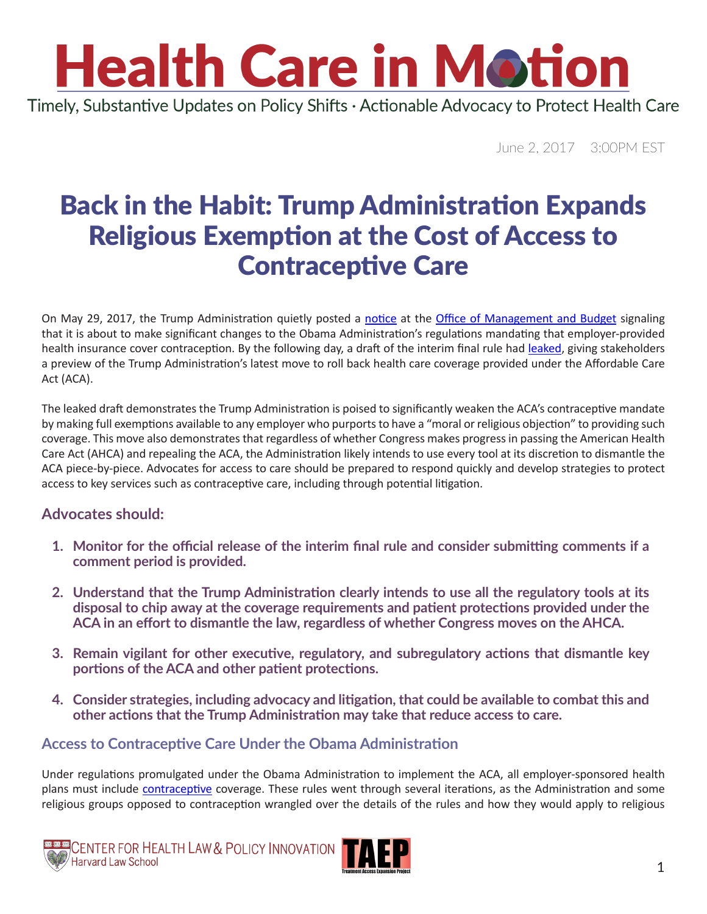### **Health Care in Motion** Timely, Substantive Updates on Policy Shifts · Actionable Advocacy to Protect Health Care

June 2, 2017 3:00PM EST

### Back in the Habit: Trump Administration Expands Religious Exemption at the Cost of Access to Contraceptive Care

On May 29, 2017, the Trump Administration quietly posted a [notice](https://www.reginfo.gov/public/do/eoDetails?rrid=127381) at the [Office of Management and Budget](https://www.whitehouse.gov/omb) signaling that it is about to make significant changes to the Obama Administration's regulations mandating that employer-provided health insurance cover contraception. By the following day, a draft of the interim final rule had [leaked](https://www.documentcloud.org/documents/3761268-Preventive-Services-Final-Rule-0.html), giving stakeholders a preview of the Trump Administration's latest move to roll back health care coverage provided under the Affordable Care Act (ACA).

The leaked draft demonstrates the Trump Administration is poised to significantly weaken the ACA's contraceptive mandate by making full exemptions available to any employer who purports to have a "moral or religious objection" to providing such coverage. This move also demonstrates that regardless of whether Congress makes progress in passing the American Health Care Act (AHCA) and repealing the ACA, the Administration likely intends to use every tool at its discretion to dismantle the ACA piece-by-piece. Advocates for access to care should be prepared to respond quickly and develop strategies to protect access to key services such as contraceptive care, including through potential litigation.

#### **Advocates should:**

- **1. Monitor for the official release of the interim final rule and consider submitting comments if a comment period is provided.**
- **2. Understand that the Trump Administration clearly intends to use all the regulatory tools at its disposal to chip away at the coverage requirements and patient protections provided under the ACA in an effort to dismantle the law, regardless of whether Congress moves on the AHCA.**
- **3. Remain vigilant for other executive, regulatory, and subregulatory actions that dismantle key portions of the ACA and other patient protections.**
- **4. Consider strategies, including advocacy and litigation, that could be available to combat this and other actions that the Trump Administration may take that reduce access to care.**

#### **Access to Contraceptive Care Under the Obama Administration**

Under regulations promulgated under the Obama Administration to implement the ACA, all employer-sponsored health plans must include [contraceptive](https://www.healthcare.gov/coverage/birth-control-benefits/) coverage. These rules went through several iterations, as the Administration and some religious groups opposed to contraception wrangled over the details of the rules and how they would apply to religious



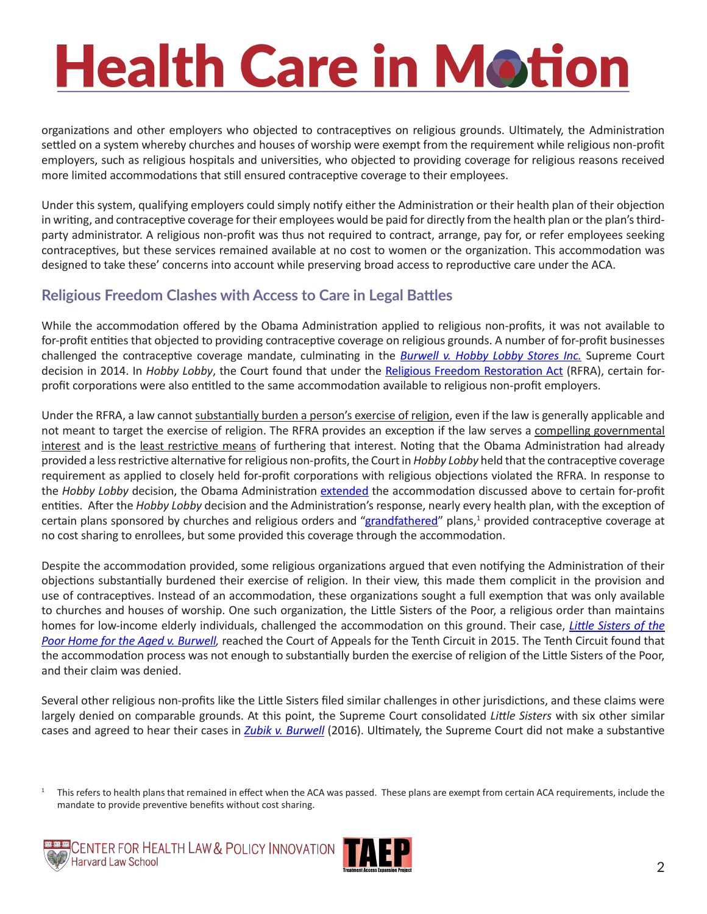organizations and other employers who objected to contraceptives on religious grounds. Ultimately, the Administration settled on a system whereby churches and houses of worship were exempt from the requirement while religious non-profit employers, such as religious hospitals and universities, who objected to providing coverage for religious reasons received more limited accommodations that still ensured contraceptive coverage to their employees.

Under this system, qualifying employers could simply notify either the Administration or their health plan of their objection in writing, and contraceptive coverage for their employees would be paid for directly from the health plan or the plan's thirdparty administrator. A religious non-profit was thus not required to contract, arrange, pay for, or refer employees seeking contraceptives, but these services remained available at no cost to women or the organization. This accommodation was designed to take these' concerns into account while preserving broad access to reproductive care under the ACA.

#### **Religious Freedom Clashes with Access to Care in Legal Battles**

While the accommodation offered by the Obama Administration applied to religious non-profits, it was not available to for-profit entities that objected to providing contraceptive coverage on religious grounds. A number of for-profit businesses challenged the contraceptive coverage mandate, culminating in the *[Burwell v. Hobby Lobby Stores Inc.](https://www.supremecourt.gov/opinions/13pdf/13-354_olp1.pdf)* Supreme Court decision in 2014. In *Hobby Lobby*, the Court found that under the [Religious Freedom Restoration Act](https://en.wikipedia.org/wiki/Religious_Freedom_Restoration_Act) (RFRA), certain forprofit corporations were also entitled to the same accommodation available to religious non-profit employers.

Under the RFRA, a law cannot substantially burden a person's exercise of religion, even if the law is generally applicable and not meant to target the exercise of religion. The RFRA provides an exception if the law serves a compelling governmental interest and is the least restrictive means of furthering that interest. Noting that the Obama Administration had already provided a less restrictive alternative for religious non-profits, the Court in *Hobby Lobby* held that the contraceptive coverage requirement as applied to closely held for-profit corporations with religious objections violated the RFRA. In response to the *Hobby Lobby* decision, the Obama Administration [extended](https://www.cms.gov/cciio/resources/fact-sheets-and-faqs/womens-preven-02012013.html) the accommodation discussed above to certain for-profit entities. After the *Hobby Lobby* decision and the Administration's response, nearly every health plan, with the exception of certain plans sponsored by churches and religious orders and ["grandfathered](http://khn.org/news/grandfathered-plans-faq/)" plans,<sup>1</sup> provided contraceptive coverage at no cost sharing to enrollees, but some provided this coverage through the accommodation.

Despite the accommodation provided, some religious organizations argued that even notifying the Administration of their objections substantially burdened their exercise of religion. In their view, this made them complicit in the provision and use of contraceptives. Instead of an accommodation, these organizations sought a full exemption that was only available to churches and houses of worship. One such organization, the Little Sisters of the Poor, a religious order than maintains homes for low-income elderly individuals, challenged the accommodation on this ground. Their case, *[Little Sisters of the](http://law.justia.com/cases/federal/appellate-courts/ca10/13-1540/13-1540-2015-07-14.html)  [Poor Home for the Aged v. Burwell](http://law.justia.com/cases/federal/appellate-courts/ca10/13-1540/13-1540-2015-07-14.html),* reached the Court of Appeals for the Tenth Circuit in 2015. The Tenth Circuit found that the accommodation process was not enough to substantially burden the exercise of religion of the Little Sisters of the Poor, and their claim was denied.

Several other religious non-profits like the Little Sisters filed similar challenges in other jurisdictions, and these claims were largely denied on comparable grounds. At this point, the Supreme Court consolidated *Little Sisters* with six other similar cases and agreed to hear their cases in *[Zubik v. Burwell](https://www.supremecourt.gov/opinions/15pdf/14-1418_8758.pdf)* (2016). Ultimately, the Supreme Court did not make a substantive

<sup>1</sup> This refers to health plans that remained in effect when the ACA was passed. These plans are exempt from certain ACA requirements, include the mandate to provide preventive benefits without cost sharing.



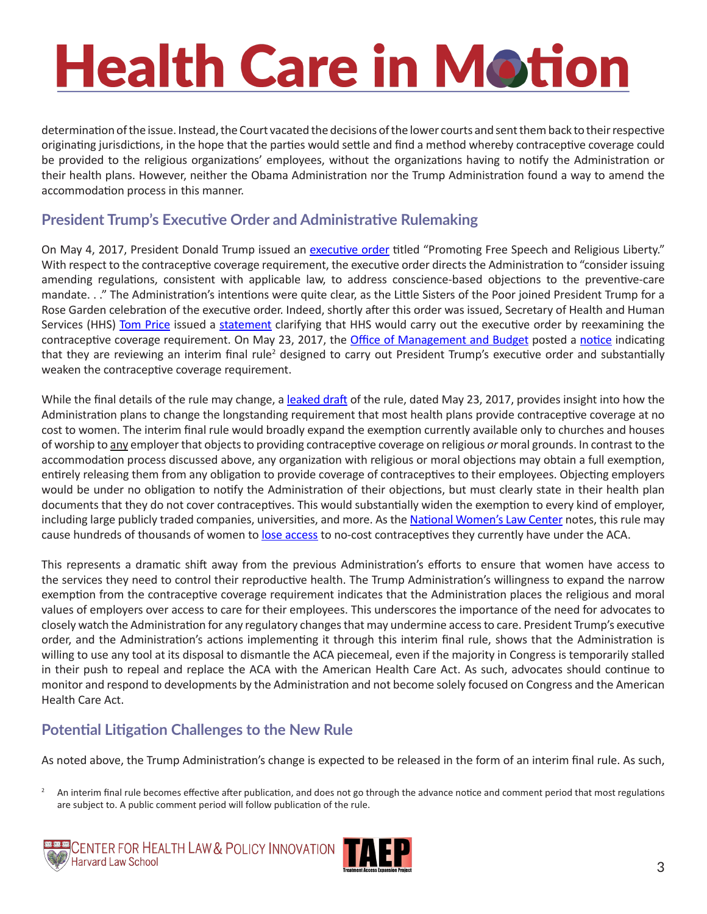determination of the issue. Instead, the Court vacated the decisions of the lower courts and sent them back to their respective originating jurisdictions, in the hope that the parties would settle and find a method whereby contraceptive coverage could be provided to the religious organizations' employees, without the organizations having to notify the Administration or their health plans. However, neither the Obama Administration nor the Trump Administration found a way to amend the accommodation process in this manner.

#### **President Trump's Executive Order and Administrative Rulemaking**

On May 4, 2017, President Donald Trump issued an [executive order](https://www.whitehouse.gov/the-press-office/2017/05/04/presidential-executive-order-promoting-free-speech-and-religious-liberty) titled "Promoting Free Speech and Religious Liberty." With respect to the contraceptive coverage requirement, the executive order directs the Administration to "consider issuing amending regulations, consistent with applicable law, to address conscience-based objections to the preventive-care mandate. . ." The Administration's intentions were quite clear, as the Little Sisters of the Poor joined President Trump for a Rose Garden celebration of the executive order. Indeed, shortly after this order was issued, Secretary of Health and Human Services (HHS) [Tom Price](https://www.hhs.gov/about/leadership/secretary/thomas-e-price-md/index.html) issued a [statement](https://www.hhs.gov/about/news/2017/05/04/secretary-price-welcomes-opportunity-to-reexamine-contraception-mandate.html) clarifying that HHS would carry out the executive order by reexamining the contraceptive coverage requirement. On May 23, 2017, the [Office of Management and Budget](https://www.whitehouse.gov/omb) posted a [notice](https://www.reginfo.gov/public/do/eoDetails?rrid=127381) indicating that they are reviewing an interim final rule<sup>2</sup> designed to carry out President Trump's executive order and substantially weaken the contraceptive coverage requirement.

While the final details of the rule may change, a [leaked draft](https://www.documentcloud.org/documents/3761268-Preventive-Services-Final-Rule-0.html) of the rule, dated May 23, 2017, provides insight into how the Administration plans to change the longstanding requirement that most health plans provide contraceptive coverage at no cost to women. The interim final rule would broadly expand the exemption currently available only to churches and houses of worship to any employer that objects to providing contraceptive coverage on religious *or* moral grounds. In contrast to the accommodation process discussed above, any organization with religious or moral objections may obtain a full exemption, entirely releasing them from any obligation to provide coverage of contraceptives to their employees. Objecting employers would be under no obligation to notify the Administration of their objections, but must clearly state in their health plan documents that they do not cover contraceptives. This would substantially widen the exemption to every kind of employer, including large publicly traded companies, universities, and more. As the [National Women's Law Center](https://nwlc.org/) notes, this rule may cause hundreds of thousands of women to [lose access](https://nwlc.org/press-releases/leaked-birth-control-rule-is-expansive-and-an-affront-to-women/) to no-cost contraceptives they currently have under the ACA.

This represents a dramatic shift away from the previous Administration's efforts to ensure that women have access to the services they need to control their reproductive health. The Trump Administration's willingness to expand the narrow exemption from the contraceptive coverage requirement indicates that the Administration places the religious and moral values of employers over access to care for their employees. This underscores the importance of the need for advocates to closely watch the Administration for any regulatory changes that may undermine access to care. President Trump's executive order, and the Administration's actions implementing it through this interim final rule, shows that the Administration is willing to use any tool at its disposal to dismantle the ACA piecemeal, even if the majority in Congress is temporarily stalled in their push to repeal and replace the ACA with the American Health Care Act. As such, advocates should continue to monitor and respond to developments by the Administration and not become solely focused on Congress and the American Health Care Act.

#### **Potential Litigation Challenges to the New Rule**

As noted above, the Trump Administration's change is expected to be released in the form of an interim final rule. As such,

<sup>2</sup> An interim final rule becomes effective after publication, and does not go through the advance notice and comment period that most regulations are subject to. A public comment period will follow publication of the rule.



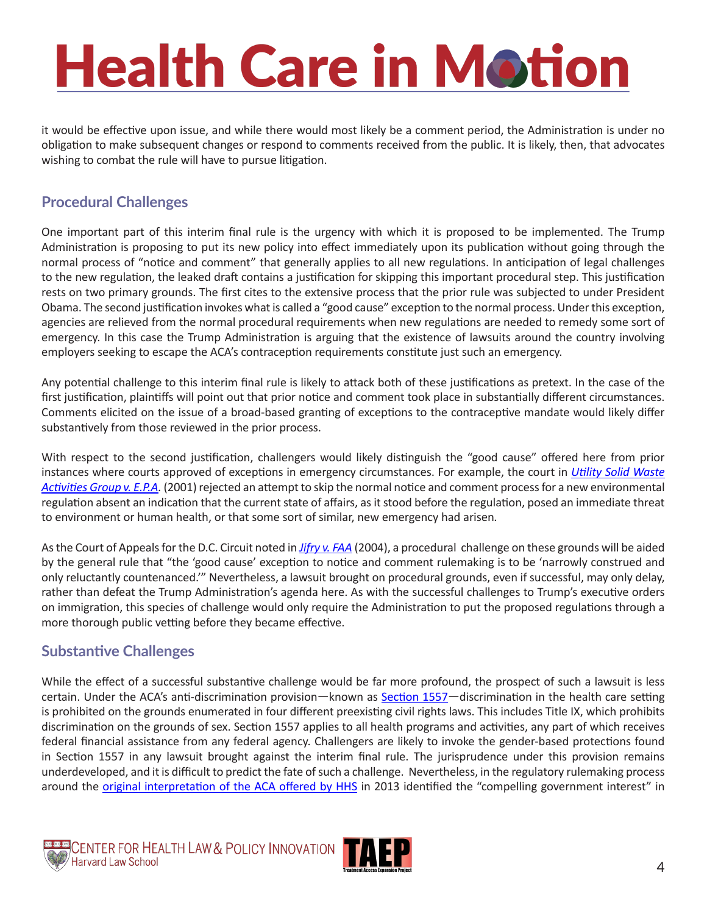it would be effective upon issue, and while there would most likely be a comment period, the Administration is under no obligation to make subsequent changes or respond to comments received from the public. It is likely, then, that advocates wishing to combat the rule will have to pursue litigation.

#### **Procedural Challenges**

One important part of this interim final rule is the urgency with which it is proposed to be implemented. The Trump Administration is proposing to put its new policy into effect immediately upon its publication without going through the normal process of "notice and comment" that generally applies to all new regulations. In anticipation of legal challenges to the new regulation, the leaked draft contains a justification for skipping this important procedural step. This justification rests on two primary grounds. The first cites to the extensive process that the prior rule was subjected to under President Obama. The second justification invokes what is called a "good cause" exception to the normal process. Under this exception, agencies are relieved from the normal procedural requirements when new regulations are needed to remedy some sort of emergency. In this case the Trump Administration is arguing that the existence of lawsuits around the country involving employers seeking to escape the ACA's contraception requirements constitute just such an emergency.

Any potential challenge to this interim final rule is likely to attack both of these justifications as pretext. In the case of the first justification, plaintiffs will point out that prior notice and comment took place in substantially different circumstances. Comments elicited on the issue of a broad-based granting of exceptions to the contraceptive mandate would likely differ substantively from those reviewed in the prior process.

With respect to the second justification, challengers would likely distinguish the "good cause" offered here from prior instances where courts approved of exceptions in emergency circumstances. For example, the court in *[Utility Solid Waste](https://scholar.google.com/scholar_case?case=15783006443225543663&hl=en&as_sdt=6&as_vis=1&oi=scholarr)  [Activities Group v. E.P.A](https://scholar.google.com/scholar_case?case=15783006443225543663&hl=en&as_sdt=6&as_vis=1&oi=scholarr).* (2001) rejected an attempt to skip the normal notice and comment process for a new environmental regulation absent an indication that the current state of affairs, as it stood before the regulation, posed an immediate threat to environment or human health, or that some sort of similar, new emergency had arisen*.* 

As the Court of Appeals for the D.C. Circuit noted in *[Jifry v. FAA](https://scholar.google.com/scholar_case?case=5943026651522186580&hl=en&as_sdt=6&as_vis=1&oi=scholarr)* (2004), a procedural challenge on these grounds will be aided by the general rule that "the 'good cause' exception to notice and comment rulemaking is to be 'narrowly construed and only reluctantly countenanced.'" Nevertheless, a lawsuit brought on procedural grounds, even if successful, may only delay, rather than defeat the Trump Administration's agenda here. As with the successful challenges to Trump's executive orders on immigration, this species of challenge would only require the Administration to put the proposed regulations through a more thorough public vetting before they became effective.

#### **Substantive Challenges**

While the effect of a successful substantive challenge would be far more profound, the prospect of such a lawsuit is less certain. Under the ACA's anti-discrimination provision—known as [Section 1557](https://www.hhs.gov/civil-rights/for-individuals/section-1557/)—discrimination in the health care setting is prohibited on the grounds enumerated in four different preexisting civil rights laws. This includes Title IX, which prohibits discrimination on the grounds of sex. Section 1557 applies to all health programs and activities, any part of which receives federal financial assistance from any federal agency. Challengers are likely to invoke the gender-based protections found in Section 1557 in any lawsuit brought against the interim final rule. The jurisprudence under this provision remains underdeveloped, and it is difficult to predict the fate of such a challenge. Nevertheless, in the regulatory rulemaking process around the [original interpretation of the ACA offered by HHS](https://www.gpo.gov/fdsys/pkg/FR-2015-07-14/pdf/2015-17076.pdf) in 2013 identified the "compelling government interest" in